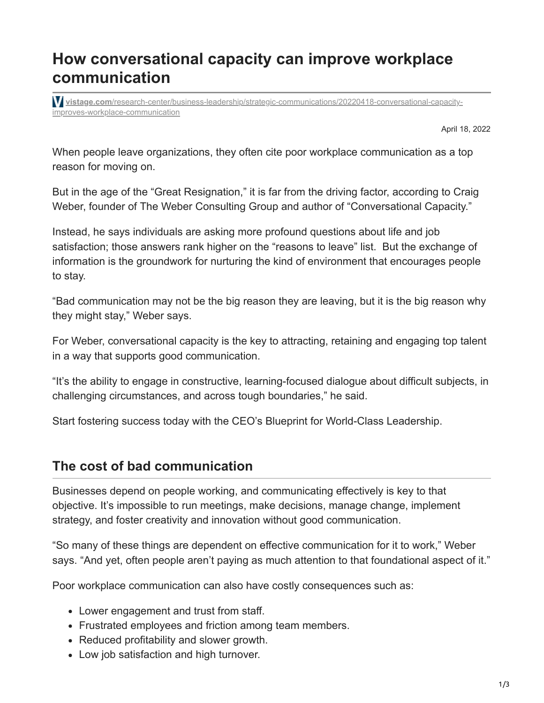# **How conversational capacity can improve workplace communication**

**vistage.com**[/research-center/business-leadership/strategic-communications/20220418-conversational-capacity](https://www.vistage.com/research-center/business-leadership/strategic-communications/20220418-conversational-capacity-improves-workplace-communication/?ls=Email&lsd=StreetTeam&ecid=CVSTG000003546430&utm_campaign=2022-05-01-Executive-Street-Team&utm_medium=email&utm_source=Eloqua)improves-workplace-communication

April 18, 2022

When people leave organizations, they often cite poor workplace communication as a top reason for moving on.

But in the age of the "Great Resignation," it is far from the driving factor, according to Craig Weber, founder of The Weber Consulting Group and author of "Conversational Capacity."

Instead, he says individuals are asking more profound questions about life and job satisfaction; those answers rank higher on the "reasons to leave" list. But the exchange of information is the groundwork for nurturing the kind of environment that encourages people to stay.

"Bad communication may not be the big reason they are leaving, but it is the big reason why they might stay," Weber says.

For Weber, conversational capacity is the key to attracting, retaining and engaging top talent in a way that supports good communication.

"It's the ability to engage in constructive, learning-focused dialogue about difficult subjects, in challenging circumstances, and across tough boundaries," he said.

Start fostering success today with the CEO's Blueprint for World-Class Leadership.

#### **The cost of bad communication**

Businesses depend on people working, and communicating effectively is key to that objective. It's impossible to run meetings, make decisions, manage change, implement strategy, and foster creativity and innovation without good communication.

"So many of these things are dependent on effective communication for it to work," Weber says. "And yet, often people aren't paying as much attention to that foundational aspect of it."

Poor workplace communication can also have costly consequences such as:

- Lower engagement and trust from staff.
- Frustrated employees and friction among team members.
- Reduced profitability and slower growth.
- Low job satisfaction and high turnover.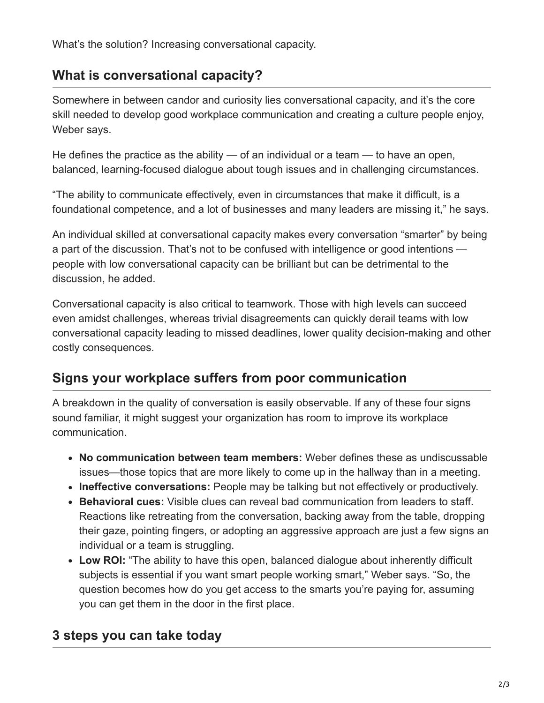What's the solution? Increasing conversational capacity.

# **What is conversational capacity?**

Somewhere in between candor and curiosity lies conversational capacity, and it's the core skill needed to develop good workplace communication and creating a culture people enjoy, Weber says.

He defines the practice as the ability — of an individual or a team — to have an open, balanced, learning-focused dialogue about tough issues and in challenging circumstances.

"The ability to communicate effectively, even in circumstances that make it difficult, is a foundational competence, and a lot of businesses and many leaders are missing it," he says.

An individual skilled at conversational capacity makes every conversation "smarter" by being a part of the discussion. That's not to be confused with intelligence or good intentions people with low conversational capacity can be brilliant but can be detrimental to the discussion, he added.

Conversational capacity is also critical to teamwork. Those with high levels can succeed even amidst challenges, whereas trivial disagreements can quickly derail teams with low conversational capacity leading to missed deadlines, lower quality decision-making and other costly consequences.

# **Signs your workplace suffers from poor communication**

A breakdown in the quality of conversation is easily observable. If any of these four signs sound familiar, it might suggest your organization has room to improve its workplace communication.

- **No communication between team members:** Weber defines these as undiscussable issues—those topics that are more likely to come up in the hallway than in a meeting.
- **Ineffective conversations:** People may be talking but not effectively or productively.
- **Behavioral cues:** Visible clues can reveal bad communication from leaders to staff. Reactions like retreating from the conversation, backing away from the table, dropping their gaze, pointing fingers, or adopting an aggressive approach are just a few signs an individual or a team is struggling.
- **Low ROI:** "The ability to have this open, balanced dialogue about inherently difficult subjects is essential if you want smart people working smart," Weber says. "So, the question becomes how do you get access to the smarts you're paying for, assuming you can get them in the door in the first place.

### **3 steps you can take today**